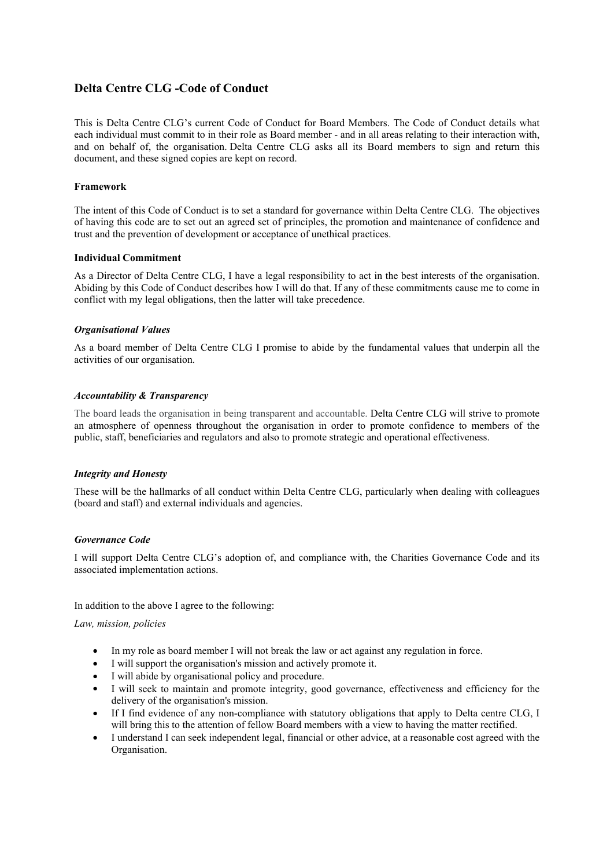# **Delta Centre CLG -Code of Conduct**

This is Delta Centre CLG's current Code of Conduct for Board Members. The Code of Conduct details what each individual must commit to in their role as Board member - and in all areas relating to their interaction with, and on behalf of, the organisation. Delta Centre CLG asks all its Board members to sign and return this document, and these signed copies are kept on record.

### **Framework**

The intent of this Code of Conduct is to set a standard for governance within Delta Centre CLG. The objectives of having this code are to set out an agreed set of principles, the promotion and maintenance of confidence and trust and the prevention of development or acceptance of unethical practices.

#### **Individual Commitment**

As a Director of Delta Centre CLG, I have a legal responsibility to act in the best interests of the organisation. Abiding by this Code of Conduct describes how I will do that. If any of these commitments cause me to come in conflict with my legal obligations, then the latter will take precedence.

### *Organisational Values*

As a board member of Delta Centre CLG I promise to abide by the fundamental values that underpin all the activities of our organisation.

### *Accountability & Transparency*

The board leads the organisation in being transparent and accountable. Delta Centre CLG will strive to promote an atmosphere of openness throughout the organisation in order to promote confidence to members of the public, staff, beneficiaries and regulators and also to promote strategic and operational effectiveness.

#### *Integrity and Honesty*

These will be the hallmarks of all conduct within Delta Centre CLG, particularly when dealing with colleagues (board and staff) and external individuals and agencies.

#### *Governance Code*

I will support Delta Centre CLG's adoption of, and compliance with, the Charities Governance Code and its associated implementation actions.

In addition to the above I agree to the following:

#### *Law, mission, policies*

- In my role as board member I will not break the law or act against any regulation in force.
- I will support the organisation's mission and actively promote it.
- I will abide by organisational policy and procedure.
- I will seek to maintain and promote integrity, good governance, effectiveness and efficiency for the delivery of the organisation's mission.
- If I find evidence of any non-compliance with statutory obligations that apply to Delta centre CLG, I will bring this to the attention of fellow Board members with a view to having the matter rectified.
- I understand I can seek independent legal, financial or other advice, at a reasonable cost agreed with the Organisation.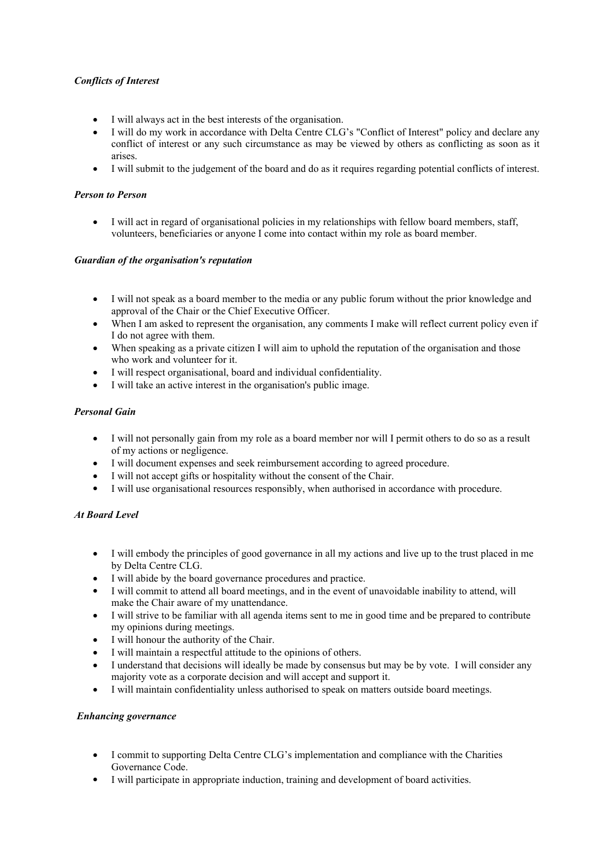## *Conflicts of Interest*

- I will always act in the best interests of the organisation.
- I will do my work in accordance with Delta Centre CLG's "Conflict of Interest" policy and declare any conflict of interest or any such circumstance as may be viewed by others as conflicting as soon as it arises.
- I will submit to the judgement of the board and do as it requires regarding potential conflicts of interest.

## *Person to Person*

 I will act in regard of organisational policies in my relationships with fellow board members, staff, volunteers, beneficiaries or anyone I come into contact within my role as board member.

## *Guardian of the organisation's reputation*

- I will not speak as a board member to the media or any public forum without the prior knowledge and approval of the Chair or the Chief Executive Officer.
- When I am asked to represent the organisation, any comments I make will reflect current policy even if I do not agree with them.
- When speaking as a private citizen I will aim to uphold the reputation of the organisation and those who work and volunteer for it.
- I will respect organisational, board and individual confidentiality.
- I will take an active interest in the organisation's public image.

### *Personal Gain*

- I will not personally gain from my role as a board member nor will I permit others to do so as a result of my actions or negligence.
- I will document expenses and seek reimbursement according to agreed procedure.
- I will not accept gifts or hospitality without the consent of the Chair.
- I will use organisational resources responsibly, when authorised in accordance with procedure.

## *At Board Level*

- I will embody the principles of good governance in all my actions and live up to the trust placed in me by Delta Centre CLG.
- I will abide by the board governance procedures and practice.
- I will commit to attend all board meetings, and in the event of unavoidable inability to attend, will make the Chair aware of my unattendance.
- I will strive to be familiar with all agenda items sent to me in good time and be prepared to contribute my opinions during meetings.
- I will honour the authority of the Chair.
- I will maintain a respectful attitude to the opinions of others.
- I understand that decisions will ideally be made by consensus but may be by vote. I will consider any majority vote as a corporate decision and will accept and support it.
- I will maintain confidentiality unless authorised to speak on matters outside board meetings.

## *Enhancing governance*

- I commit to supporting Delta Centre CLG's implementation and compliance with the Charities Governance Code.
- I will participate in appropriate induction, training and development of board activities.